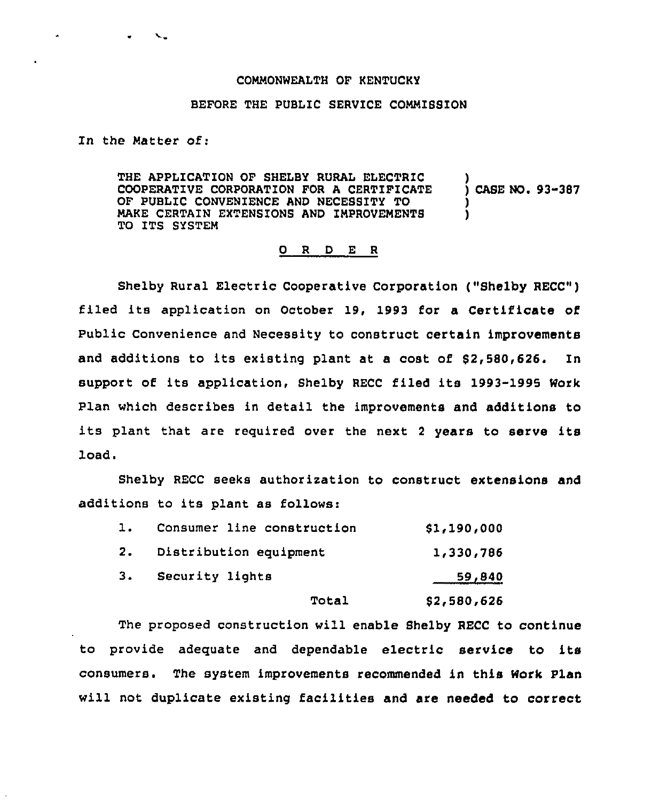## COMMONWEALTH OF KENTUCKY

## BEFORE THE PUBLIC SERVICE COMMIBSION

In the Matter Of:

 $\label{eq:1} \begin{array}{lll} \mathbf{w} & \mathbf{w} & \mathbf{w} \\ \mathbf{w} & \mathbf{w} & \mathbf{w} \end{array}$ 

THE APPLICATION OF SHELBY RURAL ELECTRIC COOPERATIVE CORPORATION FOR A CERTIFICATE OF PUBLIC CONVENIENCE AND NECESSITY TO MAKE CERTAIN EXTENSIONS AND IMPROVEMENTS TO ITS SYSTEM ) ) CASE NO. 93-387 ) )

## 0 <sup>R</sup> <sup>D</sup> E <sup>R</sup>

Shelby Rural Electric Cooperative Corporation ("Shelby RECC") filed its application on October 19, 1993 for a Certificate of Public Convenience and Necessity to construct certain improvements and additions to its existing plant at a cost of \$2,580,626. In support of its application, Shelby RECC filed its 1993-1995 Work Plan which describes in detail the improvements and additions to its plant that are required over the next <sup>2</sup> years to serve its load.

Shelby RECC seeks authorization to construct extensions and additions to its plant as follows:

| \$2,580,626 |
|-------------|
| 59,840      |
| 1,330,786   |
| \$1,190,000 |
|             |

The proposed construction will enable Shelby RECC to continue to provide adequate and dependable electric service to its consumers. The system improvements recommended in this Work Plan will not duplicate existing facilities and are needed to correct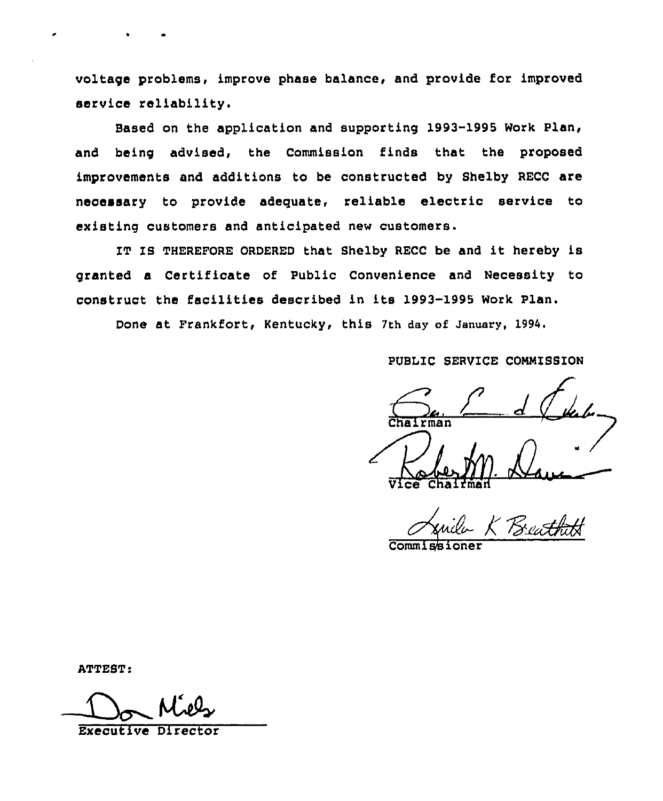voltage problems, improve phase balance, and provide for improved service reliability.

Based on the application and supporting 1993-1995 Work Plan, and being advised, the Commission finds that the proposed improvements and additions to be constructed by Shelby RECC are necessary to provide adequate, reliable electric service to existing customers and anticipated new customers.

IT IS THEREFORE ORDERED that Shelby RECC be and it hereby is granted a Certificate of Public Convenience and Necessity to construct the facilities described in its 1993-1995 Work Plan.

Done at Frankfort, Kentucky, this 7th day of January, 1994.

PUBLIC SERVICE COMMISSION

rman Robert 1 Da Vice Chairman

 $Comm<sub>1</sub>$ 

ATTEST:

Executive Direct